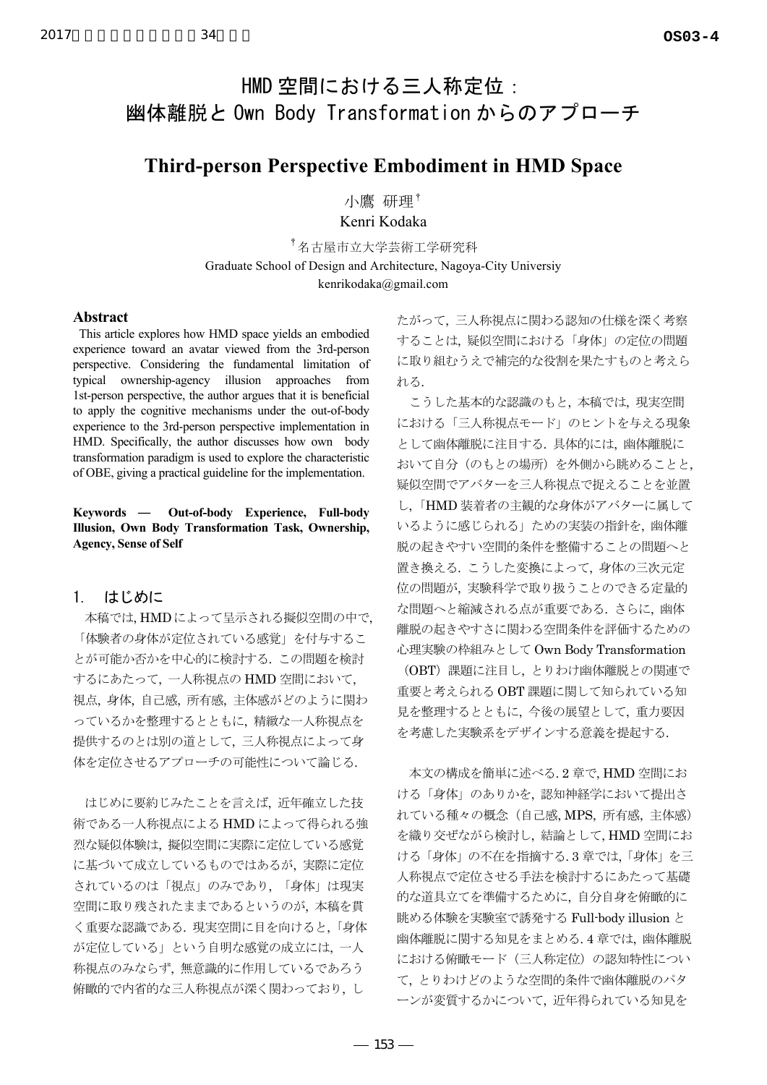# HMD 空間における三人称定位: 幽体離脱と Own Body Transformation からのアプローチ

## **Third-person Perspective Embodiment in HMD Space**

小鷹 研理† Kenri Kodaka

<sup>†</sup>名古屋市立大学芸術工学研究科 Graduate School of Design and Architecture, Nagoya-City Universiy kenrikodaka@gmail.com

## Abstract

This article explores how HMD space yields an embodied experience toward an avatar viewed from the 3rd-person perspective. Considering the fundamental limitation of typical ownership-agency illusion approaches from 1st-person perspective, the author argues that it is beneficial to apply the cognitive mechanisms under the out-of-body experience to the 3rd-person perspective implementation in HMD. Specifically, the author discusses how own body transformation paradigm is used to explore the characteristic of OBE, giving a practical guideline for the implementation.

34

Keywords — Out-of-body Experience, Full-body Illusion, Own Body Transformation Task, Ownership, **Agency, Sense of Self** 

#### $\mathbf{1}$ はじめに

本稿では、HMDによって呈示される擬似空間の中で、 「体験者の身体が定位されている感覚」を付与するこ とが可能か否かを中心的に検討する。この問題を検討 するにあたって、一人称視点の HMD 空間において、 視点, 身体, 自己感, 所有感, 主体感がどのように関わ っているかを整理するとともに、精緻な一人称視点を 提供するのとは別の道として、三人称視点によって身 体を定位させるアプローチの可能性について論じる.

はじめに要約じみたことを言えば、近年確立した技 術である一人称視点による HMD によって得られる強 烈な疑似体験は、擬似空間に実際に定位している感覚 に基づいて成立しているものではあるが、実際に定位 されているのは「視点」のみであり、「身体」は現実 空間に取り残されたままであるというのが、本稿を貫 く重要な認識である。現実空間に目を向けると、「身体 が定位している」という自明な感覚の成立には、一人 称視点のみならず、無意識的に作用しているであろう 俯瞰的で内省的な三人称視点が深く関わっており、し

たがって、三人称視点に関わる認知の仕様を深く考察 することは、疑似空間における「身体」の定位の問題 に取り組むうえで補完的な役割を果たすものと考えら れる.

こうした基本的な認識のもと、本稿では、現実空間 における「三人称視点モード」のヒントを与える現象 として幽体離脱に注目する。具体的には、幽体離脱に おいて自分(のもとの場所)を外側から眺めることと、 疑似空間でアバターを三人称視点で捉えることを並置 し、「HMD 装着者の主観的な身体がアバターに属して いるように感じられる」ための実装の指針を、幽体離 脱の起きやすい空間的条件を整備することの問題へと 置き換える. こうした変換によって、身体の三次元定 位の問題が、実験科学で取り扱うことのできる定量的 な問題へと縮減される点が重要である。さらに、幽体 離脱の起きやすさに関わる空間条件を評価するための 心理実験の枠組みとしてOwn Body Transformation

(OBT) 課題に注目し、とりわけ幽体離脱との関連で 重要と考えられる OBT 課題に関して知られている知 見を整理するとともに、今後の展望として、重力要因 を考慮した実験系をデザインする意義を提起する.

本文の構成を簡単に述べる.2章で、HMD空間にお ける「身体」のありかを、認知神経学において提出さ れている種々の概念 (自己感, MPS, 所有感, 主体感) を織り交ぜながら検討し、結論として、HMD空間にお ける「身体」の不在を指摘する.3章では、「身体」を三 人称視点で定位させる手法を検討するにあたって基礎 的な道具立てを準備するために、自分自身を俯瞰的に 眺める体験を実験室で誘発する Full-body illusion と 幽体離脱に関する知見をまとめる.4章では、幽体離脱 における俯瞰モード (三人称定位)の認知特性につい て、とりわけどのような空間的条件で幽体離脱のパタ ーンが変質するかについて、近年得られている知見を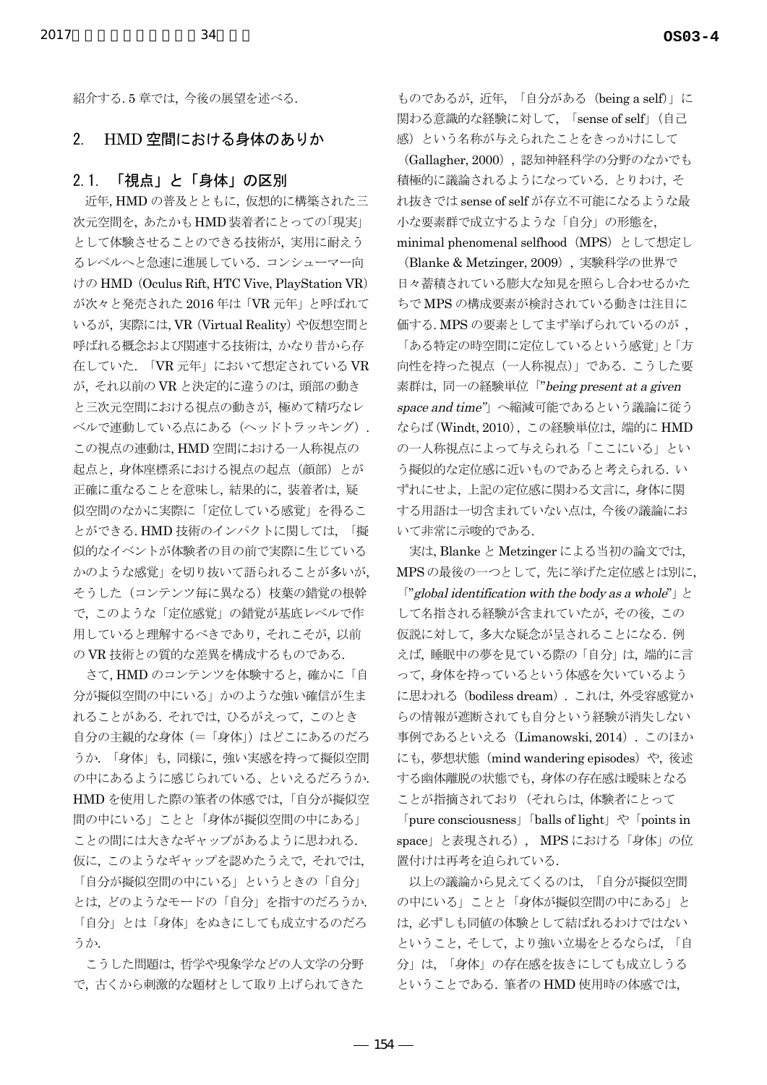紹介する.5章では、今後の展望を述べる.

#### HMD 空間における身体のありか  $2.$

#### 「視点」と「身体」の区別  $21$

近年, HMDの普及とともに、仮想的に構築された三 次元空間を、あたかもHMD装着者にとっての「現実」 として体験させることのできる技術が、実用に耐えう るレベルへと急速に進展している. コンシューマー向 けの HMD (Oculus Rift, HTC Vive, PlayStation VR) が次々と発売された 2016年は「VR元年」と呼ばれて いるが、実際には、VR (Virtual Reality) や仮想空間と 呼ばれる概念および関連する技術は、かなり昔から存 在していた. 「VR元年」において想定されている VR が、それ以前のVRと決定的に違うのは、頭部の動き と三次元空間における視点の動きが、極めて精巧なレ ベルで連動している点にある (ヘッドトラッキング). この視点の連動は、HMD空間における一人称視点の 起点と、身体座標系における視点の起点 (顔部)とが 正確に重なることを意味し、結果的に、装着者は、疑 似空間のなかに実際に「定位している感覚」を得るこ とができる. HMD 技術のインパクトに関しては、「擬 似的なイベントが体験者の目の前で実際に生じている かのような感覚」を切り抜いて語られることが多いが、 そうした (コンテンツ毎に異なる)枝葉の錯覚の根幹 で、このような「定位感覚」の錯覚が基底レベルで作 用していると理解するべきであり、それこそが、以前 のVR技術との質的な差異を構成するものである.

さて、HMDのコンテンツを体験すると、確かに「自 分が擬似空間の中にいる」かのような強い確信が生ま れることがある。それでは、ひるがえって、このとき 自分の主観的な身体(=「身体」)はどこにあるのだろ うか. 「身体」も、同様に、強い実感を持って擬似空間 の中にあるように感じられている、といえるだろうか. HMDを使用した際の筆者の体感では、「自分が擬似空 間の中にいる」ことと「身体が擬似空間の中にある」 ことの間には大きなギャップがあるように思われる. 仮に、このようなギャップを認めたうえで、それでは、 「自分が擬似空間の中にいる」というときの「自分」 とは、どのようなモードの「自分」を指すのだろうか. 「自分」とは「身体」をぬきにしても成立するのだろ

こうした問題は、哲学や現象学などの人文学の分野 で、古くから刺激的な題材として取り上げられてきた

うか

ものであるが、近年、「自分がある (being a self)」に 関わる意識的な経験に対して、「sense of self」 (自己 感)という名称が与えられたことをきっかけにして

(Gallagher, 2000),認知神経科学の分野のなかでも 積極的に議論されるようになっている。 とりわけ、そ れ抜きでは sense of self が存立不可能になるような最 小な要素群で成立するような「自分」の形態を. minimal phenomenal selfhood (MPS) として想定し

(Blanke & Metzinger, 2009)、実験科学の世界で 日々蓄積されている膨大な知見を照らし合わせるかた ちでMPSの構成要素が検討されている動きは注目に 価する. MPSの要素としてまず挙げられているのが, 「ある特定の時空間に定位しているという感覚」と「方 向性を持った視点 (一人称視点)」である. こうした要 素群は、同一の経験単位「"being present at a given space and time"」へ縮減可能であるという議論に従う ならば(Windt, 2010), この経験単位は、端的に HMD の一人称視点によって与えられる「ここにいる」とい う擬似的な定位感に近いものであると考えられる. い ずれにせよ、上記の定位感に関わる文言に、身体に関 する用語は一切含まれていない点は、今後の議論にお いて非常に示唆的である.

実は, Blanke と Metzinger による当初の論文では, MPSの最後の一つとして、先に挙げた定位感とは別に、 ["global identification with the body as a whole"]  $\geq$ して名指される経験が含まれていたが、その後、この 仮説に対して、多大な疑念が呈されることになる. 例 えば、睡眠中の夢を見ている際の「自分」は、端的に言 って、身体を持っているという体感を欠いているよう に思われる (bodiless dream). これは、外受容感覚か らの情報が遮断されても自分という経験が消失しない 事例であるといえる(Limanowski, 2014). このほか にも、夢想状態 (mind wandering episodes) や、後述 する幽体離脱の状態でも、身体の存在感は曖昧となる ことが指摘されており(それらは、体験者にとって

 $\lceil$  pure consciousness  $\lceil$  balls of light  $\lceil$   $\lceil$   $\rceil$   $\lceil$  points in space」と表現される), MPSにおける「身体」の位 置付けは再考を迫られている.

以上の議論から見えてくるのは、「自分が擬似空間 の中にいる」ことと「身体が擬似空間の中にある」と は、必ずしも同値の体験として結ばれるわけではない ということ、そして、より強い立場をとるならば、「自 分」は、「身体」の存在感を抜きにしても成立しうる ということである. 筆者の HMD 使用時の体感では、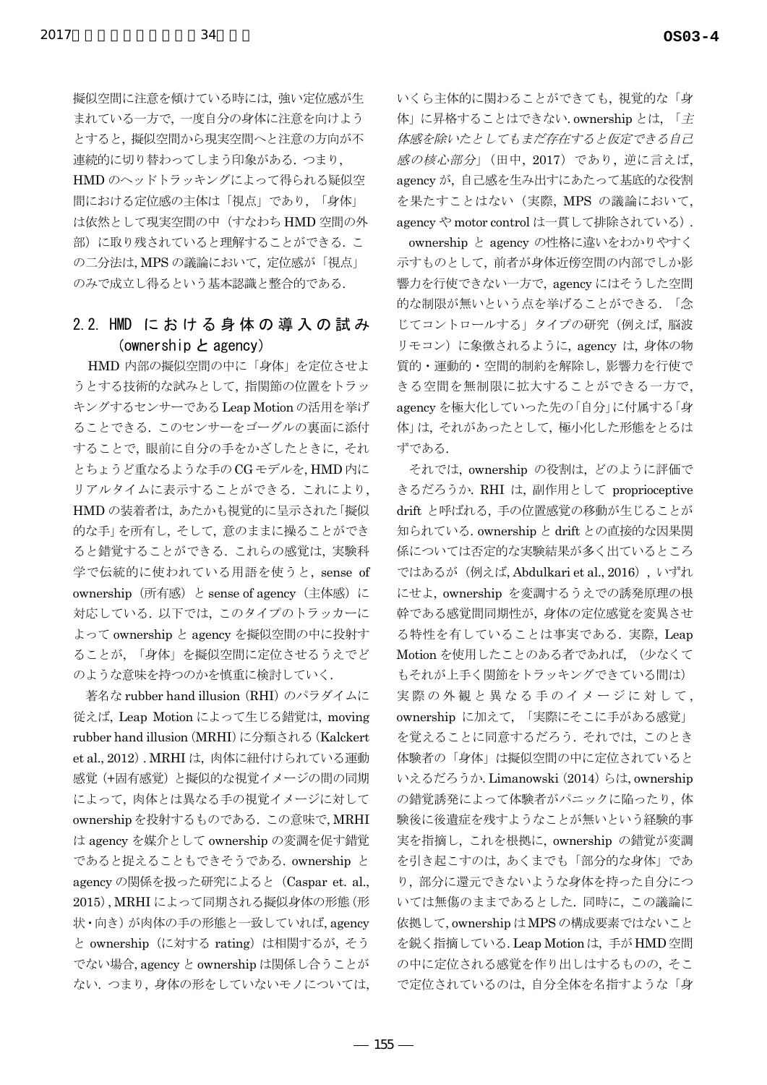擬似空間に注意を傾けている時には、強い定位感が生 まれている一方で、一度自分の身体に注意を向けよう とすると、擬似空間から現実空間へと注意の方向が不 連続的に切り替わってしまう印象がある. つまり, HMD のヘッドトラッキングによって得られる疑似空 間における定位感の主体は「視点」であり、「身体」 は依然として現実空間の中(すなわち HMD 空間の外 部)に取り残されていると理解することができる. こ の二分法は、MPSの議論において、定位感が「視点」 のみで成立し得るという基本認識と整合的である.

## 2.2. HMD における身体の導入の試み (ownership  $\angle$  agency)

HMD 内部の擬似空間の中に「身体」を定位させよ うとする技術的な試みとして、指関節の位置をトラッ キングするセンサーである Leap Motion の活用を挙げ ることできる. このセンサーをゴーグルの裏面に添付 することで、眼前に自分の手をかざしたときに、それ とちょうど重なるような手の CG モデルを, HMD 内に リアルタイムに表示することができる. これにより, HMDの装着者は、あたかも視覚的に呈示された「擬似 的な手」を所有し、そして、意のままに操ることができ ると錯覚することができる. これらの感覚は、実験科 学で伝統的に使われている用語を使うと、sense of ownership (所有感) と sense of agency (主体感) に 対応している. 以下では、このタイプのトラッカーに よって ownership と agency を擬似空間の中に投射す ることが、「身体」を擬似空間に定位させるうえでど のような意味を持つのかを慎重に検討していく.

著名な rubber hand illusion (RHI) のパラダイムに 従えば、Leap Motion によって生じる錯覚は、moving rubber hand illusion (MRHI) に分類される (Kalckert et al., 2012). MRHI は、肉体に紐付けられている運動 感覚(+固有感覚)と擬似的な視覚イメージの間の同期 によって、肉体とは異なる手の視覚イメージに対して ownershipを投射するものである. この意味で, MRHI は agency を媒介として ownership の変調を促す錯覚 であると捉えることもできそうである. ownership と agency の関係を扱った研究によると (Caspar et. al., 2015), MRHI によって同期される擬似身体の形態(形 状·向き)が肉体の手の形態と一致していれば、agency と ownership (に対する rating) は相関するが、そう でない場合, agency と ownership は関係し合うことが ない. つまり、身体の形をしていないモノについては、 いくら主体的に関わることができても、視覚的な「身 体」に昇格することはできない. ownership とは、「主 体感を除いたとしてもまだ存在すると仮定できる自己 感の核心部分」(田中, 2017) であり、逆に言えば, agency が、自己感を生み出すにあたって基底的な役割 を果たすことはない (実際, MPS の議論において, agency や motor control は一貫して排除されている).

ownership と agency の性格に違いをわかりやすく 示すものとして、前者が身体近傍空間の内部でしか影 響力を行使できない一方で、agency にはそうした空間 的な制限が無いという点を挙げることができる. 「念 じてコントロールする」タイプの研究 (例えば, 脳波 リモコン)に象徴されるように、agency は、身体の物 質的·運動的·空間的制約を解除し、影響力を行使で きる空間を無制限に拡大することができる一方で, agency を極大化していった先の「自分」に付属する「身 体」は、それがあったとして、極小化した形態をとるは ずである.

それでは、ownership の役割は、どのように評価で きるだろうか. RHI は、副作用として proprioceptive drift と呼ばれる、手の位置感覚の移動が生じることが 知られている. ownership と drift との直接的な因果関 係については否定的な実験結果が多く出ているところ ではあるが (例えば, Abdulkari et al., 2016), いずれ にせよ, ownership を変調するうえでの誘発原理の根 幹である感覚間同期性が、身体の定位感覚を変異させ る特性を有していることは事実である. 実際, Leap Motion を使用したことのある者であれば、(少なくて もそれが上手く関節をトラッキングできている間は) 実際の外観と異なる手のイメージに対して, ownership に加えて、「実際にそこに手がある感覚」 を覚えることに同意するだろう. それでは、このとき 体験者の「身体」は擬似空間の中に定位されていると いえるだろうか. Limanowski (2014) らは, ownership の錯覚誘発によって体験者がパニックに陥ったり、体 験後に後遺症を残すようなことが無いという経験的事 実を指摘し、これを根拠に、ownership の錯覚が変調 を引き起こすのは、あくまでも「部分的な身体」であ り、部分に還元できないような身体を持った自分につ いては無傷のままであるとした. 同時に、この議論に 依拠して, ownership は MPS の構成要素ではないこと を鋭く指摘している. Leap Motion は、手がHMD空間 の中に定位される感覚を作り出しはするものの、そこ で定位されているのは、自分全体を名指すような「身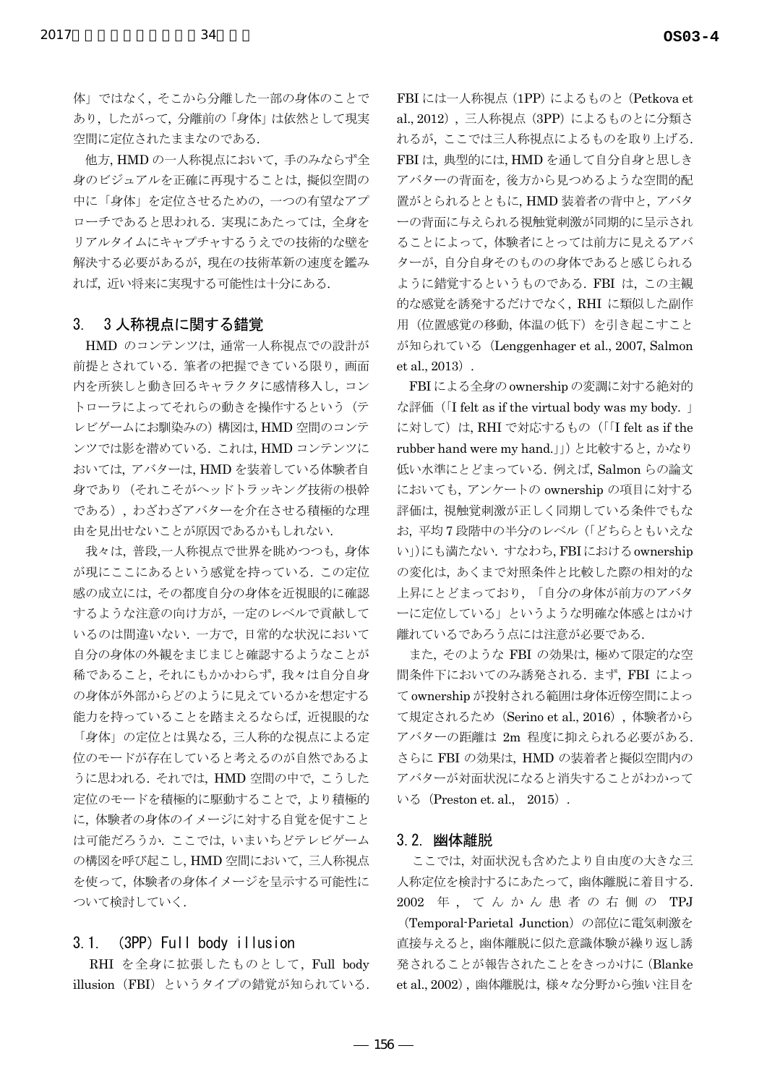体」ではなく、そこから分離した一部の身体のことで あり、したがって、分離前の「身体」は依然として現実 空間に定位されたままなのである.

34

他方、HMDの一人称視点において、手のみならず全 身のビジュアルを正確に再現することは、 擬似空間の 中に「身体」を定位させるための、一つの有望なアプ ローチであると思われる. 実現にあたっては、全身を リアルタイムにキャプチャするうえでの技術的な壁を 解決する必要があるが、現在の技術革新の速度を鑑み れば、近い将来に実現する可能性は十分にある.

#### 3人称視点に関する錯覚  $3<sub>1</sub>$

HMD のコンテンツは、通常一人称視点での設計が 前提とされている. 筆者の把握できている限り, 画面 内を所狭しと動き回るキャラクタに感情移入し、コン トローラによってそれらの動きを操作するという(テ レビゲームにお馴染みの)構図は, HMD空間のコンテ ンツでは影を潜めている. これは、HMD コンテンツに おいては、アバターは、HMDを装着している体験者自 身であり(それこそがヘッドトラッキング技術の根幹 である), わざわざアバターを介在させる積極的な理 由を見出せないことが原因であるかもしれない.

我々は、普段、一人称視点で世界を眺めつつも、身体 が現にここにあるという感覚を持っている. この定位 感の成立には、その都度自分の身体を近視眼的に確認 するような注意の向け方が、一定のレベルで貢献して いるのは間違いない. 一方で、日常的な状況において 自分の身体の外観をまじまじと確認するようなことが 稀であること、それにもかかわらず、我々は自分自身 の身体が外部からどのように見えているかを想定する 能力を持っていることを踏まえるならば、近視眼的な

「身体」の定位とは異なる、三人称的な視点による定 位のモードが存在していると考えるのが自然であるよ うに思われる. それでは, HMD 空間の中で, こうした 定位のモードを積極的に駆動することで、より積極的 に、体験者の身体のイメージに対する自覚を促すこと は可能だろうか. ここでは、いまいちどテレビゲーム の構図を呼び起こし、HMD空間において、三人称視点 を使って、体験者の身体イメージを呈示する可能性に ついて検討していく.

#### (3PP) Full body illusion  $3.1$

RHI を全身に拡張したものとして、Full body illusion (FBI) というタイプの錯覚が知られている. FBI には一人称視点 (1PP) によるものと (Petkova et al., 2012), 三人称視点 (3PP) によるものとに分類さ れるが、ここでは三人称視点によるものを取り上げる. FBIは、典型的には、HMDを通して自分自身と思しき アバターの背面を、後方から見つめるような空間的配 置がとられるとともに、HMD装着者の背中と、アバタ 一の背面に与えられる視触覚刺激が同期的に呈示され ることによって、体験者にとっては前方に見えるアバ ターが、自分自身そのものの身体であると感じられる ように錯覚するというものである. FBI は、この主観 的な感覚を誘発するだけでなく、RHI に類似した副作 用(位置感覚の移動、体温の低下)を引き起こすこと が知られている (Lenggenhager et al., 2007, Salmon  $et al., 2013$ .

FBIによる全身の ownership の変調に対する絶対的 な評価 (I felt as if the virtual body was my body. 」 に対して)は、RHIで対応するもの(「I felt as if the rubber hand were my hand. (1) と比較すると、かなり 低い水準にとどまっている. 例えば、Salmon らの論文 においても、アンケートの ownership の項目に対する 評価は、視触覚刺激が正しく同期している条件でもな お、平均7段階中の半分のレベル (「どちらともいえな い」)にも満たない. すなわち, FBIにおける ownership の変化は、あくまで対照条件と比較した際の相対的な 上昇にとどまっており、「自分の身体が前方のアバタ ーに定位している」というような明確な体感とはかけ 離れているであろう点には注意が必要である.

また、そのような FBI の効果は、極めて限定的な空 間条件下においてのみ誘発される. まず, FBI によっ て ownership が投射される範囲は身体近傍空間によっ て規定されるため (Serino et al., 2016), 体験者から アバターの距離は 2m 程度に抑えられる必要がある. さらに FBI の効果は、HMD の装着者と擬似空間内の アバターが対面状況になると消失することがわかって いる (Preston et. al., 2015).

### 3.2. 幽体離脱

ここでは、対面状況も含めたより自由度の大きな三 人称定位を検討するにあたって、幽体離脱に着目する. 2002 年, てんかん患者の右側の TPJ (Temporal-Parietal Junction) の部位に電気刺激を 直接与えると、幽体離脱に似た意識体験が繰り返し誘 発されることが報告されたことをきっかけに (Blanke

et al., 2002), 幽体離脱は、様々な分野から強い注目を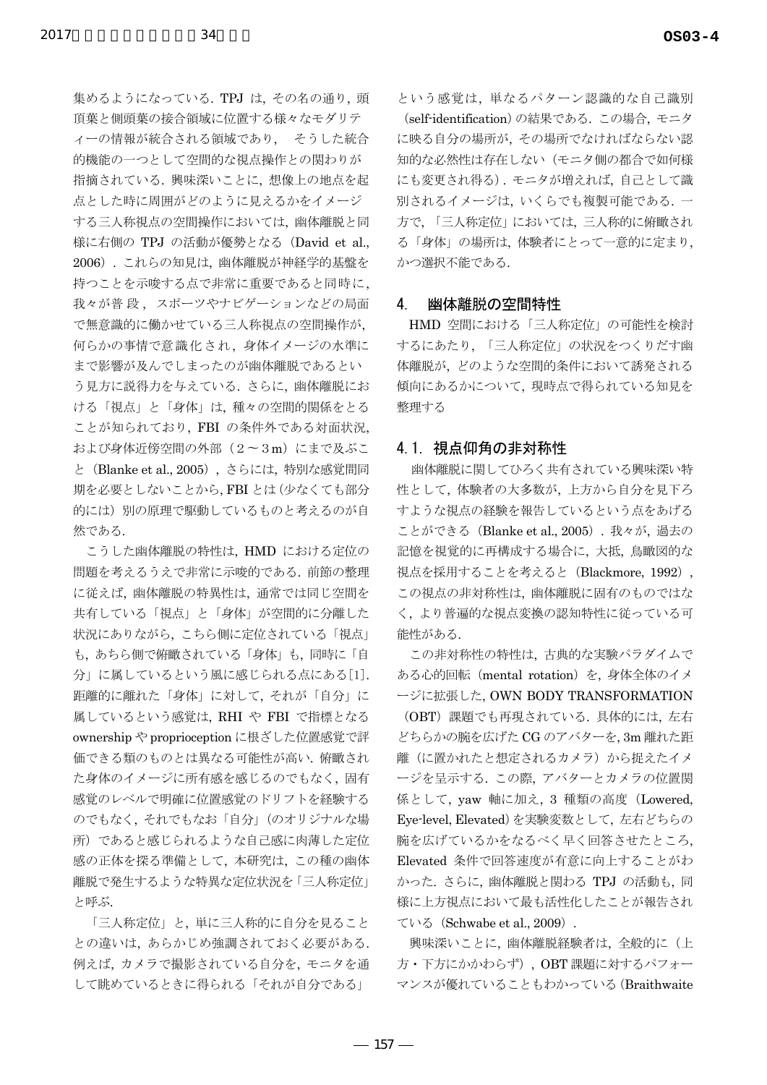集めるようになっている. TPJ は、その名の通り. 頭 頂葉と側頭葉の接合領域に位置する様々なモダリテ ィーの情報が統合される領域であり、 そうした統合 的機能の一つとして空間的な視点操作との関わりが 指摘されている. 興味深いことに、想像上の地点を起 点とした時に周囲がどのように見えるかをイメージ する三人称視点の空間操作においては、幽体離脱と同 様に右側の TPJ の活動が優勢となる (David et al., 2006). これらの知見は、幽体離脱が神経学的基盤を 持つことを示唆する点で非常に重要であると同時に, 我々が普段、スポーツやナビゲーションなどの局面 で無意識的に働かせている三人称視点の空間操作が, 何らかの事情で意識化され、身体イメージの水準に まで影響が及んでしまったのが幽体離脱であるとい う見方に説得力を与えている。さらに、幽体離脱にお ける「視点」と「身体」は、種々の空間的関係をとる ことが知られており、FBI の条件外である対面状況, および身体近傍空間の外部 (2~3m) にまで及ぶこ と (Blanke et al., 2005), さらには、特別な感覚間同 期を必要としないことから, FBI とは (少なくても部分 的には) 別の原理で駆動しているものと考えるのが自 然である.

こうした幽体離脱の特性は、HMD における定位の 問題を考えるうえで非常に示唆的である. 前節の整理 に従えば、幽体離脱の特異性は、通常では同じ空間を 共有している「視点」と「身体」が空間的に分離した 状況にありながら、こちら側に定位されている「視点」 も、あちら側で俯瞰されている「身体」も、同時に「自 分」に属しているという風に感じられる点にある[1]. 距離的に離れた「身体」に対して、それが「自分」に 属しているという感覚は、RHI や FBI で指標となる ownership や proprioception に根ざした位置感覚で評 価できる類のものとは異なる可能性が高い. 俯瞰され た身体のイメージに所有感を感じるのでもなく、固有 感覚のレベルで明確に位置感覚のドリフトを経験する のでもなく、それでもなお「自分」 (のオリジナルな場 所)であると感じられるような自己感に肉薄した定位 感の正体を探る準備として、本研究は、この種の幽体 離脱で発生するような特異な定位状況を「三人称定位」 と呼ぶ.

「三人称定位」と、単に三人称的に自分を見ること との違いは、あらかじめ強調されておく必要がある. 例えば、カメラで撮影されている自分を、モニタを通 して眺めているときに得られる「それが自分である」

という感覚は、単なるパターン認識的な自己識別 (self-identification)の結果である. この場合, モニタ に映る自分の場所が、その場所でなければならない認 知的な必然性は存在しない(モニタ側の都合で如何様 にも変更され得る). モニタが増えれば、自己として識 別されるイメージは、いくらでも複製可能である. 一 方で、「三人称定位」においては、三人称的に俯瞰され る「身体」の場所は、体験者にとって一意的に定まり、 かつ選択不能である。

#### $\mathbf{4}$ 幽体離脱の空間特性

HMD 空間における「三人称定位」の可能性を検討 するにあたり、「三人称定位」の状況をつくりだす幽 体離脱が、どのような空間的条件において誘発される 傾向にあるかについて、現時点で得られている知見を 整理する

## 4.1 視点仰角の非対称性

幽体離脱に関してひろく共有されている興味深い特 性として、体験者の大多数が、上方から自分を見下ろ すような視点の経験を報告しているという点をあげる ことができる (Blanke et al., 2005). 我々が、過去の 記憶を視覚的に再構成する場合に、大抵、鳥瞰図的な 視点を採用することを考えると (Blackmore, 1992), この視点の非対称性は、幽体離脱に固有のものではな く、より普遍的な視点変換の認知特性に従っている可 能性がある.

この非対称性の特性は、古典的な実験パラダイムで ある心的回転 (mental rotation) を、身体全体のイメ ージに拡張した, OWN BODY TRANSFORMATION

(OBT) 課題でも再現されている. 具体的には、左右 どちらかの腕を広げた CG のアバターを, 3m 離れた距 離(に置かれたと想定されるカメラ)から捉えたイメ ージを呈示する. この際、アバターとカメラの位置関 係として、vaw 軸に加え、3 種類の高度 (Lowered, Eye-level, Elevated) を実験変数として、左右どちらの 腕を広げているかをなるべく早く回答させたところ, Elevated 条件で回答速度が有意に向上することがわ かった. さらに、幽体離脱と関わる TPJ の活動も,同 様に上方視点において最も活性化したことが報告され ている (Schwabe et al., 2009).

興味深いことに、幽体離脱経験者は、全般的に(上 方·下方にかかわらず), OBT課題に対するパフォー マンスが優れていることもわかっている (Braithwaite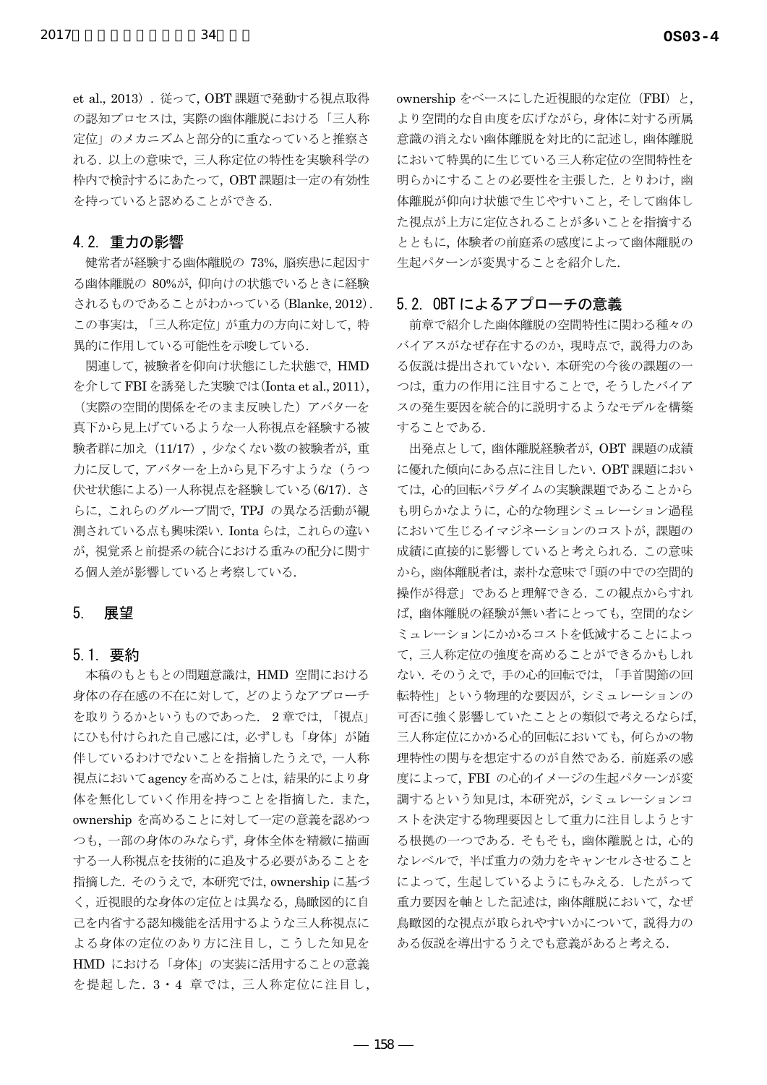et al., 2013). 従って、OBT 課題で発動する視点取得 の認知プロセスは、実際の幽体離脱における「三人称 定位」のメカニズムと部分的に重なっていると推察さ れる. 以上の意味で、三人称定位の特性を実験科学の 枠内で検討するにあたって、OBT課題は一定の有効性 を持っていると認めることができる.

## 4.2 重力の影響

健常者が経験する幽体離脱の 73%、脳疾患に起因す る幽体離脱の 80%が、仰向けの状態でいるときに経験 されるものであることがわかっている (Blanke, 2012). この事実は、「三人称定位」が重力の方向に対して、特 異的に作用している可能性を示唆している.

関連して、被験者を仰向け状態にした状態で、HMD を介して FBI を誘発した実験では(Ionta et al., 2011), (実際の空間的関係をそのまま反映した) アバターを 真下から見上げているような一人称視点を経験する被 験者群に加え (11/17)、少なくない数の被験者が、重 力に反して、アバターを上から見下ろすような(うつ 伏せ状態による)一人称視点を経験している(6/17). さ らに、これらのグループ間で、TPJの異なる活動が観 測されている点も興味深い. Ionta らは、これらの違い が、視覚系と前提系の統合における重みの配分に関す る個人差が影響していると考察している.

#### $5<sub>1</sub>$ 展望

## 5.1. 要約

本稿のもともとの問題意識は、HMD 空間における 身体の存在感の不在に対して、どのようなアプローチ を取りうるかというものであった. 2章では、「視点」 にひも付けられた自己感には、必ずしも「身体」が随 伴しているわけでないことを指摘したうえで、一人称 視点においてagencyを高めることは、結果的により身 体を無化していく作用を持つことを指摘した. また, ownership を高めることに対して一定の意義を認めつ つも、一部の身体のみならず、身体全体を精緻に描画 する一人称視点を技術的に追及する必要があることを 指摘した. そのうえで、本研究では、ownershipに基づ く、近視眼的な身体の定位とは異なる、鳥瞰図的に自 己を内省する認知機能を活用するような三人称視点に よる身体の定位のあり方に注目し、こうした知見を HMD における「身体」の実装に活用することの意義 を提起した. 3·4 章では、三人称定位に注目し、 ownership をベースにした近視眼的な定位 (FBI) と. より空間的な自由度を広げながら、身体に対する所属 意識の消えない幽体離脱を対比的に記述し、幽体離脱 において特異的に生じている三人称定位の空間特性を 明らかにすることの必要性を主張した. とりわけ. 幽 体離脱が仰向け状態で生じやすいこと、そして幽体し た視点が上方に定位されることが多いことを指摘する とともに、体験者の前庭系の感度によって幽体離脱の 生起パターンが変異することを紹介した.

## 5.2. OBT によるアプローチの意義

前章で紹介した幽体離脱の空間特性に関わる種々の バイアスがなぜ存在するのか、現時点で、説得力のあ る仮説は提出されていない. 本研究の今後の課題の一 つは、重力の作用に注目することで、そうしたバイア スの発生要因を統合的に説明するようなモデルを構築 することである.

出発点として、幽体離脱経験者が、OBT 課題の成績 に優れた傾向にある点に注目したい. OBT 課題におい ては、心的回転パラダイムの実験課題であることから も明らかなように、心的な物理シミュレーション過程 において生じるイマジネーションのコストが、課題の 成績に直接的に影響していると考えられる. この意味 から、幽体離脱者は、素朴な意味で「頭の中での空間的 操作が得意」であると理解できる. この観点からすれ ば、幽体離脱の経験が無い者にとっても、空間的なシ ミュレーションにかかるコストを低減することによっ て、三人称定位の強度を高めることができるかもしれ ない. そのうえで、手の心的回転では、「手首関節の回 転特性」という物理的な要因が、シミュレーションの 可否に強く影響していたこととの類似で考えるならば、 三人称定位にかかる心的回転においても、何らかの物 理特性の関与を想定するのが自然である. 前庭系の感 度によって、FBI の心的イメージの生起パターンが変 調するという知見は、本研究が、シミュレーションコ ストを決定する物理要因として重力に注目しようとす る根拠の一つである. そもそも、幽体離脱とは、心的 なレベルで、半ば重力の効力をキャンセルさせること によって、生起しているようにもみえる. したがって 重力要因を軸とした記述は、幽体離脱において、なぜ 鳥瞰図的な視点が取られやすいかについて、説得力の ある仮説を導出するうえでも意義があると考える.